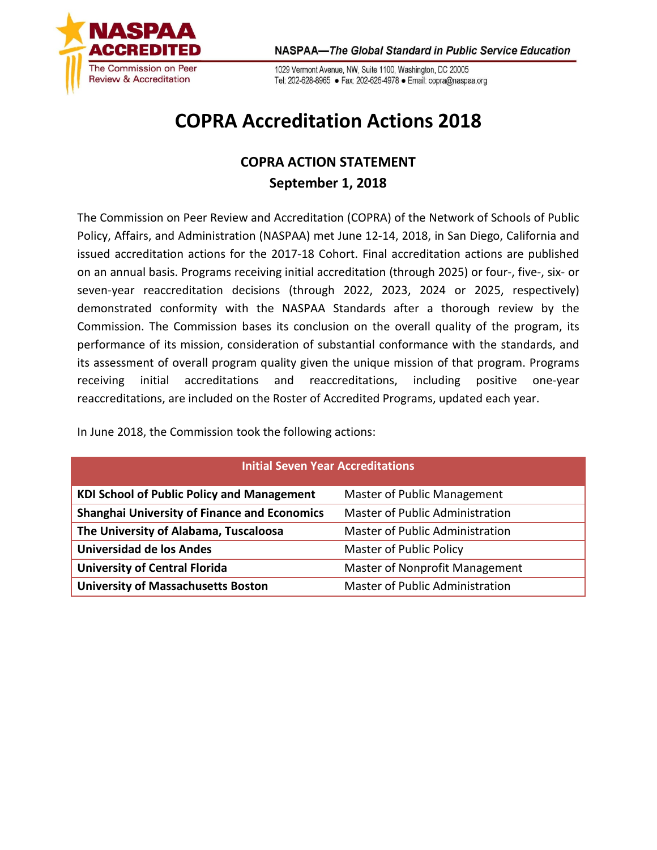

1029 Vermont Avenue, NW, Suite 1100, Washington, DC 20005 Tel: 202-628-8965 · Fax: 202-626-4978 · Email: copra@naspaa.org

## **COPRA Accreditation Actions 2018**

## **COPRA ACTION STATEMENT September 1, 2018**

The Commission on Peer Review and Accreditation (COPRA) of the Network of Schools of Public Policy, Affairs, and Administration (NASPAA) met June 12-14, 2018, in San Diego, California and issued accreditation actions for the 2017-18 Cohort. Final accreditation actions are published on an annual basis. Programs receiving initial accreditation (through 2025) or four-, five-, six- or seven-year reaccreditation decisions (through 2022, 2023, 2024 or 2025, respectively) demonstrated conformity with the NASPAA Standards after a thorough review by the Commission. The Commission bases its conclusion on the overall quality of the program, its performance of its mission, consideration of substantial conformance with the standards, and its assessment of overall program quality given the unique mission of that program. Programs receiving initial accreditations and reaccreditations, including positive one-year reaccreditations, are included on the Roster of Accredited Programs, updated each year.

In June 2018, the Commission took the following actions:

| <b>Initial Seven Year Accreditations</b>            |                                 |  |
|-----------------------------------------------------|---------------------------------|--|
| <b>KDI School of Public Policy and Management</b>   | Master of Public Management     |  |
| <b>Shanghai University of Finance and Economics</b> | Master of Public Administration |  |
| The University of Alabama, Tuscaloosa               | Master of Public Administration |  |
| <b>Universidad de los Andes</b>                     | <b>Master of Public Policy</b>  |  |
| <b>University of Central Florida</b>                | Master of Nonprofit Management  |  |
| <b>University of Massachusetts Boston</b>           | Master of Public Administration |  |